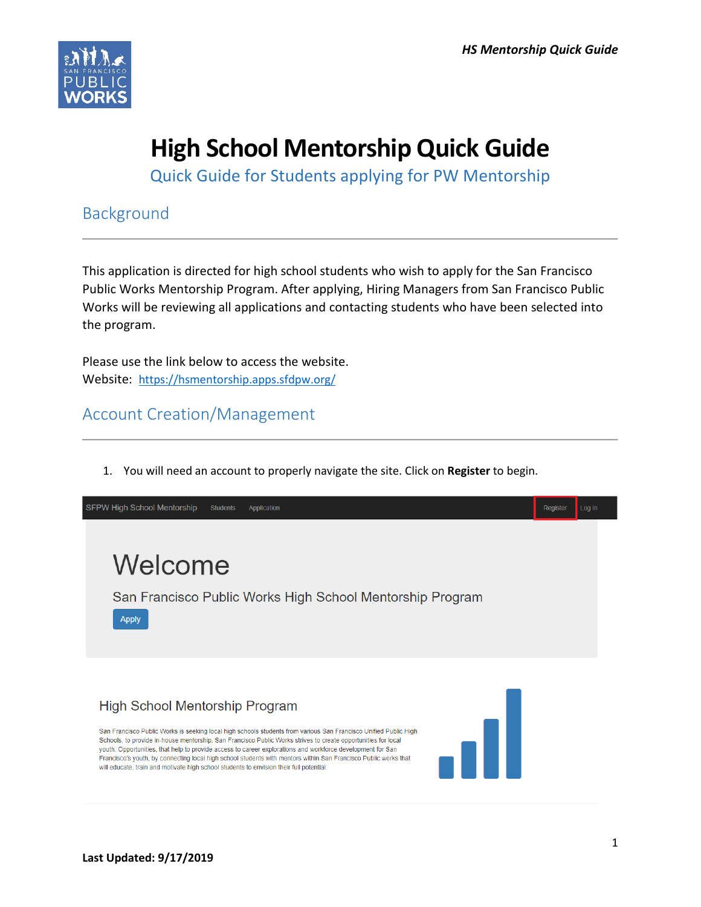

# **High School Mentorship Quick Guide**

Quick Guide for Students applying for PW Mentorship

Background

This application is directed for high school students who wish to apply for the San Francisco Public Works Mentorship Program. After applying, Hiring Managers from San Francisco Public Works will be reviewing all applications and contacting students who have been selected into the program.

Please use the link below to access the website. Website: <https://hsmentorship.apps.sfdpw.org/>

Account Creation/Management

1. You will need an account to properly navigate the site. Click on **Register** to begin.

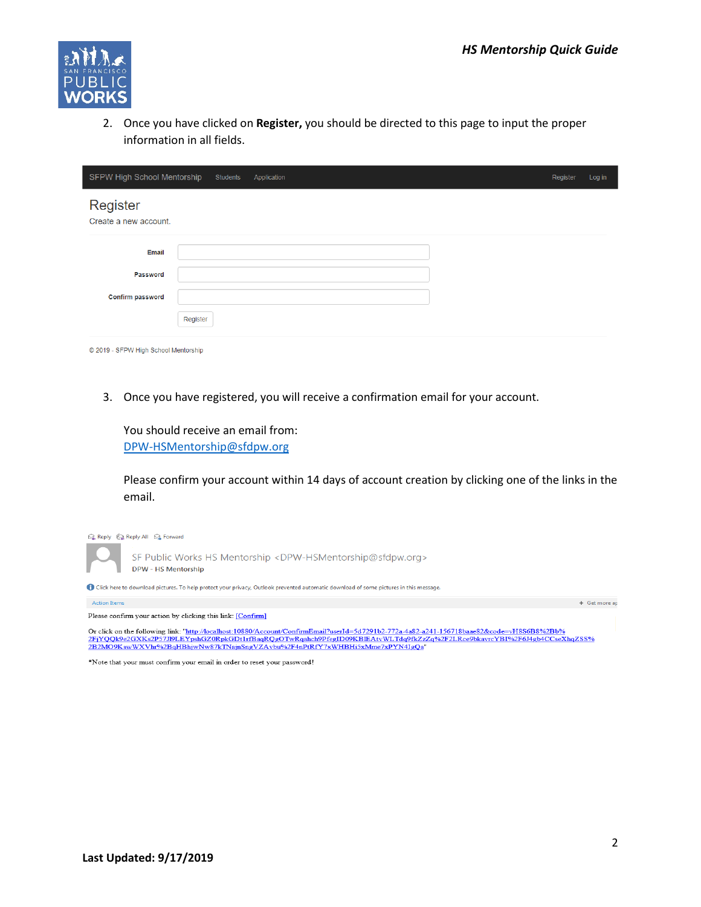

2. Once you have clicked on **Register,** you should be directed to this page to input the proper information in all fields.

| SFPW High School Mentorship          |          | Students | Application |  | Register | Log in |  |
|--------------------------------------|----------|----------|-------------|--|----------|--------|--|
| Register<br>Create a new account.    |          |          |             |  |          |        |  |
| Email                                |          |          |             |  |          |        |  |
| Password                             |          |          |             |  |          |        |  |
| Confirm password                     |          |          |             |  |          |        |  |
|                                      | Register |          |             |  |          |        |  |
| © 2019 - SFPW High School Mentorship |          |          |             |  |          |        |  |

3. Once you have registered, you will receive a confirmation email for your account.



Please confirm your account within 14 days of account creation by clicking one of the links in the email.



\*Note that your must confirm your email in order to reset your password!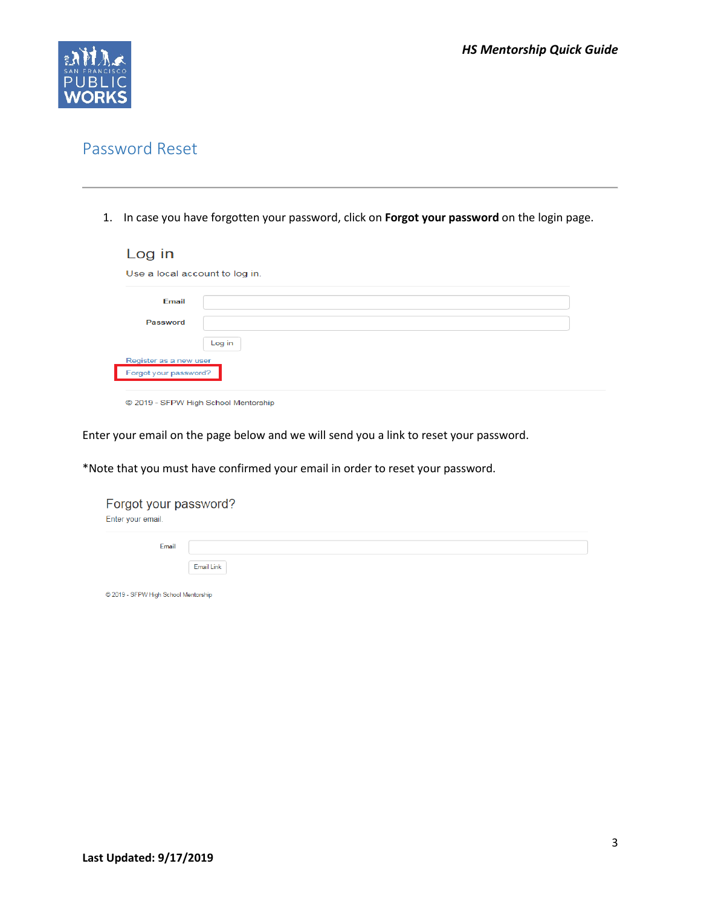

### Password Reset

1. In case you have forgotten your password, click on **Forgot your password** on the login page.

| Log in                                          |        |
|-------------------------------------------------|--------|
| Use a local account to log in.                  |        |
| Email                                           |        |
| Password                                        |        |
|                                                 | Log in |
| Register as a new user<br>Forgot your password? |        |

© 2019 - SFPW High School Mentorship

Enter your email on the page below and we will send you a link to reset your password.

\*Note that you must have confirmed your email in order to reset your password.

| Forgot your password?<br>Enter your email. |            |
|--------------------------------------------|------------|
| <b>Email</b>                               |            |
| C 2019 - SFPW High School Mentorship       | Email Link |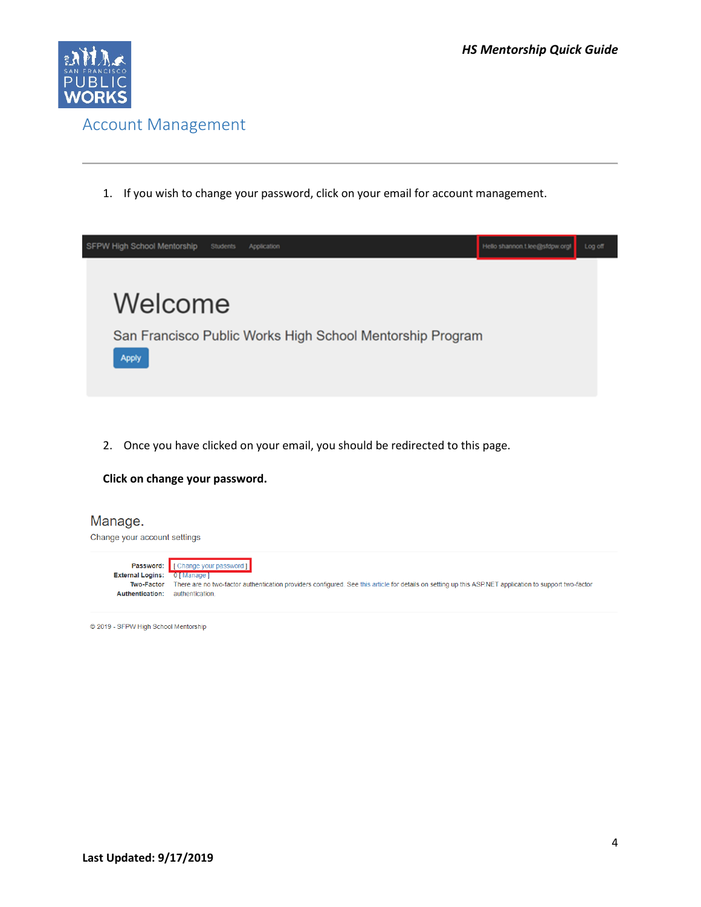

1. If you wish to change your password, click on your email for account management.

| SFPW High School Mentorship | <b>Students</b><br>Application |                                                           | Hello shannon t lee@sfdpw.orgl | Log off |  |
|-----------------------------|--------------------------------|-----------------------------------------------------------|--------------------------------|---------|--|
| Welcome<br><b>Apply</b>     |                                | San Francisco Public Works High School Mentorship Program |                                |         |  |

2. Once you have clicked on your email, you should be redirected to this page.

#### **Click on change your password.**

| Manage.<br>Change your account settings                                |                                                                                                                                                                                          |
|------------------------------------------------------------------------|------------------------------------------------------------------------------------------------------------------------------------------------------------------------------------------|
|                                                                        | <b>Password:</b> [Change your password]                                                                                                                                                  |
| <b>External Logins:</b><br><b>Two-Factor</b><br><b>Authentication:</b> | 0 [ Manage ]<br>There are no two-factor authentication providers configured. See this article for details on setting up this ASP.NET application to support two-factor<br>authentication |
|                                                                        |                                                                                                                                                                                          |

© 2019 - SFPW High School Mentorship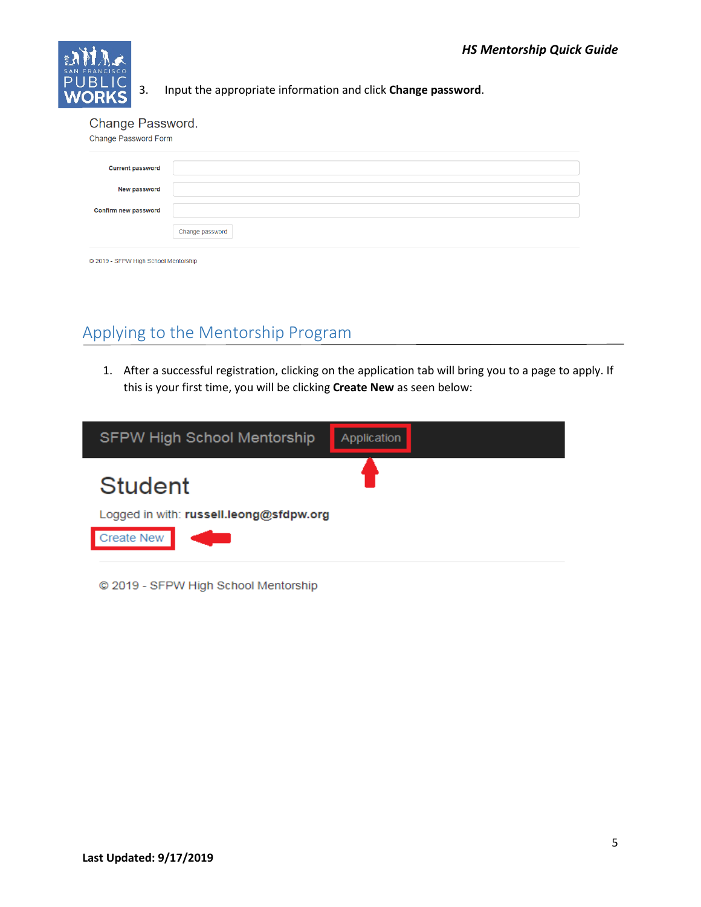

3. Input the appropriate information and click **Change password**.

Change Password.

| Change Password Form    |                 |
|-------------------------|-----------------|
| <b>Current password</b> |                 |
| <b>New password</b>     |                 |
| Confirm new password    |                 |
|                         | Change password |
|                         |                 |

© 2019 - SFPW High School Mentorship

## Applying to the Mentorship Program

1. After a successful registration, clicking on the application tab will bring you to a page to apply. If this is your first time, you will be clicking **Create New** as seen below:



© 2019 - SFPW High School Mentorship